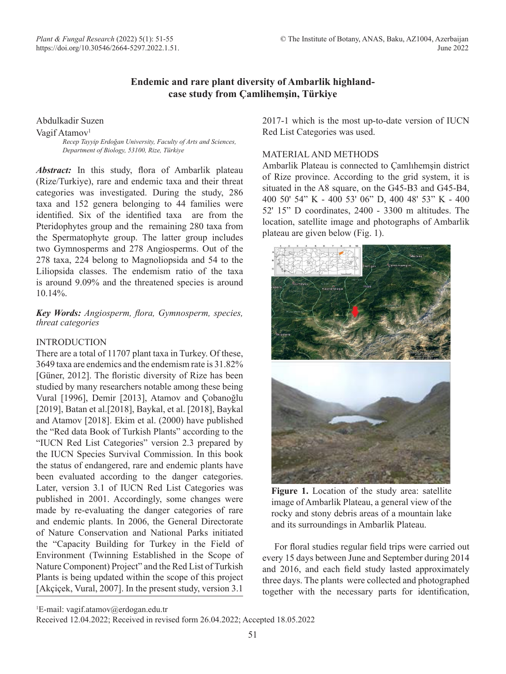# **Endemic and rare plant diversity of Ambarlik highlandcase study from Çamlihemşin, Türkiye**

Abdulkadir Suzen

Vagif Atamov<sup>1</sup>

*Recep Tayyip Erdoğan University, Faculty of Arts and Sciences, Department of Biology, 53100, Rize, Türkiye*

Abstract: In this study, flora of Ambarlik plateau (Rize/Turkiye), rare and endemic taxa and their threat categories was investigated. During the study, 286 taxa and 152 genera belonging to 44 families were identified. Six of the identified taxa are from the Pteridophytes group and the remaining 280 taxa from the Spermatophyte group. The latter group includes two Gymnosperms and 278 Angiosperms. Out of the 278 taxa, 224 belong to Magnoliopsida and 54 to the Liliopsida classes. The endemism ratio of the taxa is around 9.09% and the threatened species is around 10.14%.

### *Key Words: Angiosperm, flora, Gymnosperm, species, threat categories*

### **INTRODUCTION**

There are a total of 11707 plant taxa in Turkey. Of these, 3649 taxa are endemics and the endemism rate is 31.82% [Güner, 2012]. The floristic diversity of Rize has been studied by many researchers notable among these being Vural [1996], Demir [2013], Atamov and Çobanoğlu [2019], Batan et al.[2018], Baykal, et al. [2018], Baykal and Atamov [2018]. Ekim et al. (2000) have published the "Red data Book of Turkish Plants" according to the "IUCN Red List Categories" version 2.3 prepared by the IUCN Species Survival Commission. In this book the status of endangered, rare and endemic plants have been evaluated according to the danger categories. Later, version 3.1 of IUCN Red List Categories was published in 2001. Accordingly, some changes were made by re-evaluating the danger categories of rare and endemic plants. In 2006, the General Directorate of Nature Conservation and National Parks initiated the "Capacity Building for Turkey in the Field of Environment (Twinning Established in the Scope of Nature Component) Project" and the Red List of Turkish Plants is being updated within the scope of this project [Akçiçek, Vural, 2007]. In the present study, version 3.1

2017-1 which is the most up-to-date version of IUCN Red List Categories was used.

### MATERIAL AND METHODS

Ambarlik Plateau is connected to Çamlıhemşin district of Rize province. According to the grid system, it is situated in the A8 square, on the G45-B3 and G45-B4, 400 50' 54" K - 400 53' 06" D, 400 48' 53" K - 400 52' 15" D coordinates, 2400 - 3300 m altitudes. The location, satellite image and photographs of Ambarlik plateau are given below (Fig. 1).



**Figure 1.** Location of the study area: satellite image of Ambarlik Plateau, a general view of the rocky and stony debris areas of a mountain lake and its surroundings in Ambarlik Plateau.

For floral studies regular field trips were carried out every 15 days between June and September during 2014 and 2016, and each field study lasted approximately three days. The plants were collected and photographed together with the necessary parts for identification,

1 E-mail: vagif.atamov@erdogan.edu.tr

Received 12.04.2022; Received in revised form 26.04.2022; Accepted 18.05.2022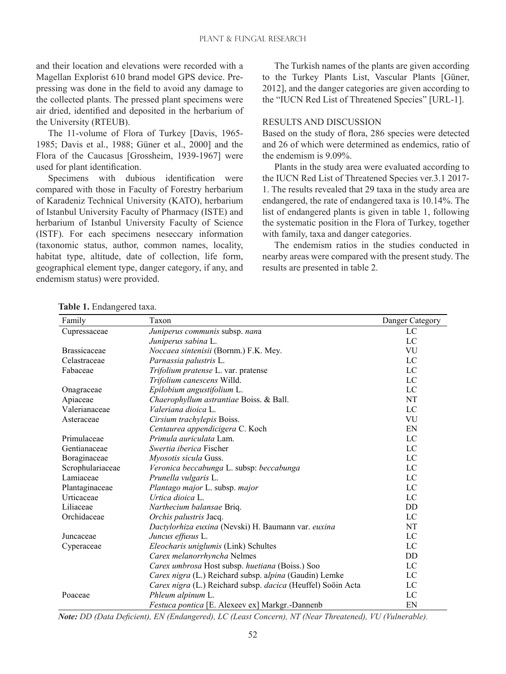and their location and elevations were recorded with a Magellan Explorist 610 brand model GPS device. Prepressing was done in the field to avoid any damage to the collected plants. The pressed plant specimens were air dried, identified and deposited in the herbarium of the University (RTEUB).

The 11-volume of Flora of Turkey [Davis, 1965- 1985; Davis et al., 1988; Güner et al., 2000] and the Flora of the Caucasus [Grossheim, 1939-1967] were used for plant identification.

Specimens with dubious identification were compared with those in Faculty of Forestry herbarium of Karadeniz Technical University (KATO), herbarium of Istanbul University Faculty of Pharmacy (ISTE) and herbarium of Istanbul University Faculty of Science (ISTF). For each specimens neseccary information (taxonomic status, author, common names, locality, habitat type, altitude, date of collection, life form, geographical element type, danger category, if any, and endemism status) were provided.

The Turkish names of the plants are given according to the Turkey Plants List, Vascular Plants [Güner, 2012], and the danger categories are given according to the "IUCN Red List of Threatened Species" [URL-1].

#### RESULTS AND DISCUSSION

Based on the study of flora, 286 species were detected and 26 of which were determined as endemics, ratio of the endemism is 9.09%.

Plants in the study area were evaluated according to the IUCN Red List of Threatened Species ver.3.1 2017- 1. The results revealed that 29 taxa in the study area are endangered, the rate of endangered taxa is 10.14%. The list of endangered plants is given in table 1, following the systematic position in the Flora of Turkey, together with family, taxa and danger categories.

The endemism ratios in the studies conducted in nearby areas were compared with the present study. The results are presented in table 2.

| Family              | Taxon                                                        | Danger Category |
|---------------------|--------------------------------------------------------------|-----------------|
| Cupressaceae        | Juniperus communis subsp. nana                               | LC              |
|                     | Juniperus sabina L.                                          | LC              |
| <b>Brassicaceae</b> | Noccaea sintenisii (Bornm.) F.K. Mey.                        | VU              |
| Celastraceae        | Parnassia palustris L.                                       | LC              |
| Fabaceae            | Trifolium pratense L. var. pratense                          | LC              |
|                     | Trifolium canescens Willd.                                   | LC              |
| Onagraceae          | Epilobium angustifolium L.                                   | LC              |
| Apiaceae            | Chaerophyllum astrantiae Boiss. & Ball.                      | NT              |
| Valerianaceae       | Valeriana dioica L.                                          | $\rm LC$        |
| Asteraceae          | Cirsium trachylepis Boiss.                                   | VU              |
|                     | Centaurea appendicigera C. Koch                              | EN              |
| Primulaceae         | Primula auriculata Lam.                                      | LC              |
| Gentianaceae        | <i>Swertia iberica</i> Fischer                               | LC              |
| Boraginaceae        | Myosotis sicula Guss.                                        | LC              |
| Scrophulariaceae    | Veronica beccabunga L. subsp: beccabunga                     | LC              |
| Lamiaceae           | Prunella vulgaris L.                                         | LC              |
| Plantaginaceae      | Plantago major L. subsp. major                               | LC              |
| Urticaceae          | Urtica dioica L.                                             | LC              |
| Liliaceae           | Narthecium balansae Briq.                                    | DD              |
| Orchidaceae         | Orchis palustris Jacq.                                       | LC              |
|                     | Dactylorhiza euxina (Nevski) H. Baumann var. euxina          | NT              |
| Juncaceae           | Juncus effusus L.                                            | LC              |
| Cyperaceae          | Eleocharis uniglumis (Link) Schultes                         | LC              |
|                     | Carex melanorrhyncha Nelmes                                  | DD              |
|                     | Carex umbrosa Host subsp. huetiana (Boiss.) Soo              | LC              |
|                     | Carex nigra (L.) Reichard subsp. alpina (Gaudin) Lemke       | LC              |
|                     | Carex nigra (L.) Reichard subsp. dacica (Heuffel) Soöin Acta | LC              |
| Poaceae             | Phleum alpinum L.                                            | LC              |
|                     | Festuca pontica [E. Alexeev ex] Markgr.-Dannenb              | EN              |

**Table 1.** Endangered taxa.

*Note: DD (Data Deficient), EN (Endangered), LC (Least Concern), NT (Near Threatened), VU (Vulnerable).*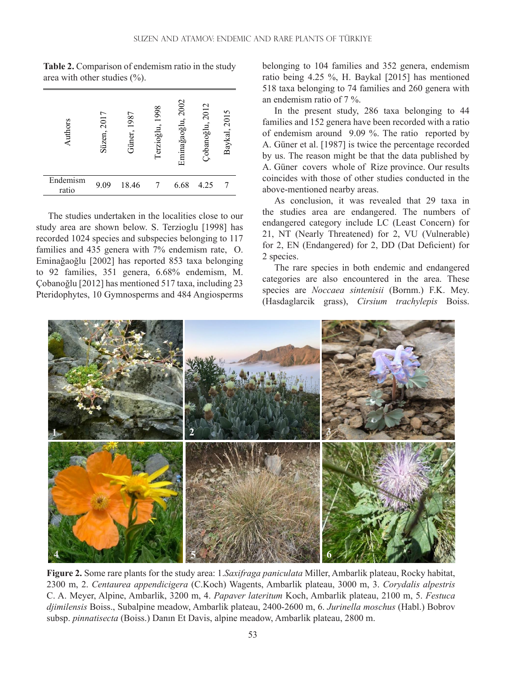| Authors           | 2017<br>Süzen, | Güner, 1987 | 1998<br>Terzioğlu, | Eminağaoğlu, 2002 | Çobanoğlu, 2012 | Baykal, 2015 |
|-------------------|----------------|-------------|--------------------|-------------------|-----------------|--------------|
| Endemism<br>ratio | 9.09           | 18.46       |                    | 6.68              | 4.25            |              |

**Table 2.** Comparison of endemism ratio in the study area with other studies (%).

The studies undertaken in the localities close to our study area are shown below. S. Terzioglu [1998] has recorded 1024 species and subspecies belonging to 117 families and 435 genera with 7% endemism rate, O. Eminağaoğlu [2002] has reported 853 taxa belonging to 92 families, 351 genera, 6.68% endemism, M. Çobanoğlu [2012] has mentioned 517 taxa, including 23 Pteridophytes, 10 Gymnosperms and 484 Angiosperms belonging to 104 families and 352 genera, endemism ratio being 4.25 %, H. Baykal [2015] has mentioned 518 taxa belonging to 74 families and 260 genera with an endemism ratio of 7 %.

In the present study, 286 taxa belonging to 44 families and 152 genera have been recorded with a ratio of endemism around 9.09 %. The ratio reported by A. Güner et al. [1987] is twice the percentage recorded by us. The reason might be that the data published by A. Güner covers whole of Rize province. Our results coincides with those of other studies conducted in the above-mentioned nearby areas.

As conclusion, it was revealed that 29 taxa in the studies area are endangered. The numbers of endangered category include LC (Least Concern) for 21, NT (Nearly Threatened) for 2, VU (Vulnerable) for 2, EN (Endangered) for 2, DD (Dat Deficient) for 2 species.

The rare species in both endemic and endangered categories are also encountered in the area. These species are *Noccaea sintenisii* (Bornm.) F.K. Mey. (Hasdaglarcik grass), *Cirsium trachylepis* Boiss.



**Figure 2.** Some rare plants for the study area: 1.*Saxifraga paniculata* Miller, Ambarlik plateau, Rocky habitat, 2300 m, 2. *Centaurea appendicigera* (C.Koch) Wagents, Ambarlik plateau, 3000 m, 3. *Corydalis alpestris* C. A. Meyer, Alpine, Ambarlik, 3200 m, 4. *Papaver lateritum* Koch, Ambarlik plateau, 2100 m, 5. *Festuca djimilensis* Boiss., Subalpine meadow, Ambarlik plateau, 2400-2600 m, 6. *Jurinella moschus* (Habl.) Bobrov subsp. *pinnatisecta* (Boiss.) Danın Et Davis, alpine meadow, Ambarlik plateau, 2800 m.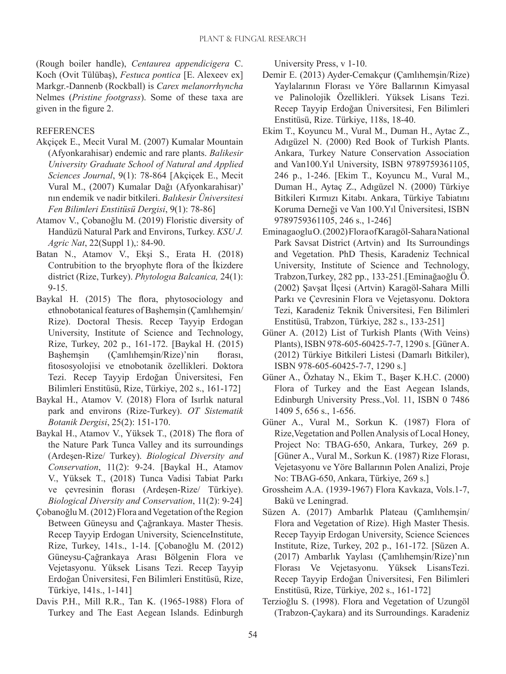(Rough boiler handle), *Centaurea appendicigera* C. Koch (Ovit Tülübaş), *Festuca pontica* [E. Alexeev ex] Markgr.-Dannenb (Rockball) is *Carex melanorrhyncha*  Nelmes (*Pristine footgrass*). Some of these taxa are given in the figure 2.

#### **REFERENCES**

- Akçiçek E., Mecit Vural M. (2007) Kumalar Mountain (Afyonkarahisar) endemic and rare plants. *Balikesir University Graduate School of Natural and Applied Sciences Journal*, 9(1): 78-864 [Akçiçek E., Mecit Vural M., (2007) Kumalar Dağı (Afyonkarahisar)' nın endemik ve nadir bitkileri. *Balıkesir Üniversitesi Fen Bilimleri Enstitüsü Dergisi*, 9(1): 78-86]
- Atamov V., Çobanoğlu M. (2019) Floristic diversity of Handüzü Natural Park and Environs, Turkey. *KSU J. Agric Nat*, 22(Suppl 1),: 84-90.
- Batan N., Atamov V., Ekşi S., Erata H. (2018) Contrubition to the bryophyte flora of the İkizdere district (Rize, Turkey). *Phytologıa Balcanica,* 24(1): 9-15.
- Baykal H. (2015) The flora, phytosociology and ethnobotanical features of Başhemşin (Çamlıhemşin/ Rize). Doctoral Thesis. Recep Tayyip Erdogan University, Institute of Science and Technology, Rize, Turkey, 202 p., 161-172. [Baykal H. (2015) Başhemşin (Çamlıhemşin/Rize)'nin florası, fitososyolojisi ve etnobotanik özellikleri. Doktora Tezi. Recep Tayyip Erdoğan Üniversitesi, Fen Bilimleri Enstitüsü, Rize, Türkiye, 202 s., 161-172]
- Baykal H., Atamov V. (2018) Flora of Isırlık natural park and environs (Rize-Turkey). *OT Sistematik Botanik Dergisi*, 25(2): 151-170.
- Baykal H., Atamov V., Yüksek T., (2018) The flora of the Nature Park Tunca Valley and its surroundings (Ardeşen-Rize/ Turkey). *Biological Diversity and Conservation*, 11(2): 9-24. [Baykal H., Atamov V., Yüksek T., (2018) Tunca Vadisi Tabiat Parkı ve çevresinin florası (Ardeşen-Rize/ Türkiye). *Biological Diversity and Conservation*, 11(2): 9-24]
- Çobanoğlu M. (2012) Flora and Vegetation of the Region Between Güneysu and Çağrankaya. Master Thesis. Recep Tayyip Erdogan University, ScienceInstitute, Rize, Turkey, 141s., 1-14. [Çobanoğlu M. (2012) Güneysu-Çağrankaya Arası Bölgenin Flora ve Vejetasyonu. Yüksek Lisans Tezi. Recep Tayyip Erdoğan Üniversitesi, Fen Bilimleri Enstitüsü, Rize, Türkiye, 141s., 1-141]
- Davis P.H., Mill R.R., Tan K. (1965-1988) Flora of Turkey and The East Aegean Islands. Edinburgh

University Press, v 1-10.

- Demir E. (2013) Ayder-Cemakçur (Çamlıhemşin/Rize) Yaylalarının Florası ve Yöre Ballarının Kimyasal ve Palinolojik Özellikleri. Yüksek Lisans Tezi. Recep Tayyip Erdoğan Üniversitesi, Fen Bilimleri Enstitüsü, Rize. Türkiye, 118s, 18-40.
- Ekim T., Koyuncu M., Vural M., Duman H., Aytac Z., Adıgüzel N. (2000) Red Book of Turkish Plants. Ankara, Turkey Nature Conservation Association and Van100.Yıl University, ISBN 9789759361105, 246 p., 1-246. [Ekim T., Koyuncu M., Vural M., Duman H., Aytaç Z., Adıgüzel N. (2000) Türkiye Bitkileri Kırmızı Kitabı. Ankara, Türkiye Tabiatını Koruma Derneği ve Van 100.Yıl Üniversitesi, ISBN 9789759361105, 246 s., 1-246]
- Eminagaoglu O. (2002) Flora of Karagöl-Sahara National Park Savsat District (Artvin) and Its Surroundings and Vegetation. PhD Thesis, Karadeniz Technical University, Institute of Science and Technology, Trabzon,Turkey, 282 pp., 133-251.[Eminağaoğlu Ö. (2002) Şavşat İlçesi (Artvin) Karagöl-Sahara Milli Parkı ve Çevresinin Flora ve Vejetasyonu. Doktora Tezi, Karadeniz Teknik Üniversitesi, Fen Bilimleri Enstitüsü, Trabzon, Türkiye, 282 s., 133-251]
- Güner A. (2012) List of Turkish Plants (With Veins) Plants), ISBN 978-605-60425-7-7, 1290 s. [Güner A. (2012) Türkiye Bitkileri Listesi (Damarlı Bitkiler), ISBN 978-605-60425-7-7, 1290 s.]
- Güner A., Özhatay N., Ekim T., Başer K.H.C. (2000) Flora of Turkey and the East Aegean Islands, Edinburgh University Press.,Vol. 11, ISBN 0 7486 1409 5, 656 s., 1-656.
- Güner A., Vural M., Sorkun K. (1987) Flora of Rize,Vegetation and Pollen Analysis of Local Honey, Project No: TBAG-650, Ankara, Turkey, 269 p. [Güner A., Vural M., Sorkun K. (1987) Rize Florası, Vejetasyonu ve Yöre Ballarının Polen Analizi, Proje No: TBAG-650, Ankara, Türkiye, 269 s.]
- Grossheim A.A. (1939-1967) Flora Kavkaza, Vols.1-7, Bakü ve Leningrad.
- Süzen A. (2017) Ambarlık Plateau (Çamlıhemşin/ Flora and Vegetation of Rize). High Master Thesis. Recep Tayyip Erdogan University, Science Sciences Institute, Rize, Turkey, 202 p., 161-172. [Süzen A. (2017) Ambarlık Yaylası (Çamlıhemşin/Rize)'nın Florası Ve Vejetasyonu. Yüksek LisansTezi. Recep Tayyip Erdoğan Üniversitesi, Fen Bilimleri Enstitüsü, Rize, Türkiye, 202 s., 161-172]
- Terzioğlu S. (1998). Flora and Vegetation of Uzungöl (Trabzon-Çaykara) and its Surroundings. Karadeniz